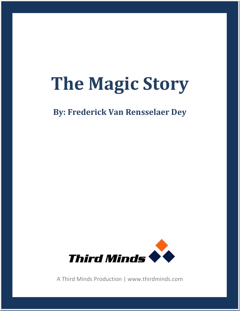# **The Magic Story**

## **By: Frederick Van Rensselaer Dey**



A Third Minds Production | www.thirdminds.com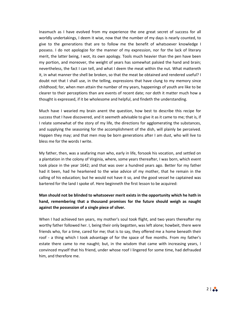Inasmuch as I have evolved from my experience the one great secret of success for all worldly undertakings, I deem it wise, now that the number of my days is nearly counted, to give to the generations that are to follow me the benefit of whatsoever knowledge I possess. I do not apologize for the manner of my expression, nor for the lack of literary merit, the latter being, I wot, its own apology. Tools much heavier than the pen have been my portion, and moreover, the weight of years has somewhat palsied the hand and brain; nevertheless, the fact I can tell, and what I deem the meat within the nut. What mattereth it, in what manner the shell be broken, so that the meat be obtained and rendered useful? I doubt not that I shall use, in the telling, expressions that have clung to my memory since childhood; for, when men attain the number of my years, happenings of youth are like to be clearer to their perceptions than are events of recent date; nor doth it matter much how a thought is expressed, if it be wholesome and helpful, and findeth the understanding.

Much have I wearied my brain anent the question, how best to describe this recipe for success that I have discovered, and it seemeth advisable to give it as it came to me; that is, if I relate somewhat of the story of my life, the directions for agglomerating the substances, and supplying the seasoning for the accomplishment of the dish, will plainly be perceived. Happen they may; and that men may be born generations after I am dust, who will live to bless me for the words I write.

My father, then, was a seafaring man who, early in life, forsook his vocation, and settled on a plantation in the colony of Virginia, where, some years thereafter, I was born, which event took place in the year 1642; and that was over a hundred years ago. Better for my father had it been, had he hearkened to the wise advice of my mother, that he remain in the calling of his education; but he would not have it so, and the good vessel he captained was bartered for the land I spoke of. Here beginneth the first lesson to be acquired:

#### **Man should not be blinded to whatsoever merit exists in the opportunity which he hath in hand, remembering that a thousand promises for the future should weigh as naught against the possession of a single piece of silver.**

When I had achieved ten years, my mother's soul took flight, and two years thereafter my worthy father followed her. I, being their only begotten, was left alone; howbeit, there were friends who, for a time, cared for me; that is to say, they offered me a home beneath their roof - a thing which I took advantage of for the space of five months. From my father's estate there came to me naught; but, in the wisdom that came with increasing years, I convinced myself that his friend, under whose roof I lingered for some time, had defrauded him, and therefore me.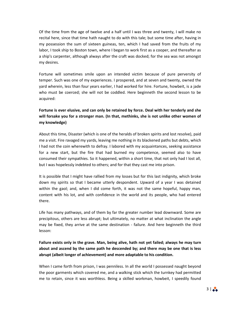Of the time from the age of twelve and a half until I was three and twenty, I will make no recital here, since that time hath naught to do with this tale; but some time after, having in my possession the sum of sixteen guineas, ten, which I had saved from the fruits of my labor, I took ship to Boston town, where I began to work first as a cooper, and thereafter as a ship's carpenter, although always after the craft was docked; for the sea was not amongst my desires.

Fortune will sometimes smile upon an intended victim because of pure perversity of temper. Such was one of my experiences. I prospered, and at seven and twenty, owned the yard wherein, less than four years earlier, I had worked for hire. Fortune, howbeit, is a jade who must be coerced; she will not be coddled. Here beginneth the second lesson to be acquired:

#### **Fortune is ever elusive, and can only be retained by force. Deal with her tenderly and she will forsake you for a stronger man. (In that, methinks, she is not unlike other women of my knowledge)**

About this time, Disaster (which is one of the heralds of broken spirits and lost resolve), paid me a visit. Fire ravaged my yards, leaving me nothing in its blackened paths but debts, which I had not the coin wherewith to defray. I labored with my acquaintances, seeking assistance for a new start, but the fire that had burned my competence, seemed also to have consumed their sympathies. So it happened, within a short time, that not only had I lost all, but I was hopelessly indebted to others; and for that they cast me into prison.

It is possible that I might have rallied from my losses but for this last indignity, which broke down my spirits so that I became utterly despondent. Upward of a year I was detained within the gaol; and, when I did come forth, it was not the same hopeful, happy man, content with his lot, and with confidence in the world and its people, who had entered there.

Life has many pathways, and of them by far the greater number lead downward. Some are precipitous, others are less abrupt; but ultimately, no matter at what inclination the angle may be fixed, they arrive at the same destination - failure. And here beginneth the third lesson:

#### **Failure exists only in the grave. Man, being alive, hath not yet failed; always he may turn about and ascend by the same path he descended by; and there may be one that is less abrupt (albeit longer of achievement) and more adaptable to his condition.**

When I came forth from prison, I was penniless. In all the world I possessed naught beyond the poor garments which covered me, and a walking stick which the turnkey had permitted me to retain, since it was worthless. Being a skilled workman, howbeit, I speedily found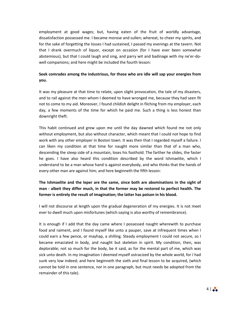employment at good wages; but, having eaten of the fruit of worldly advantage, dissatisfaction possessed me. I became morose and sullen; whereat, to cheer my spirits, and for the sake of forgetting the losses I had sustained, I passed my evenings at the tavern. Not that I drank overmuch of liquor, except on occasion (for I have ever been somewhat abstemious), but that I could laugh and sing, and parry wit and badinage with my ne'er-dowell companions; and here might be included the fourth lesson:

#### **Seek comrades among the industrious, for those who are idle will sap your energies from you.**

It was my pleasure at that time to relate, upon slight provocation, the tale of my disasters, and to rail against the men whom I deemed to have wronged me, because they had seen fit not to come to my aid. Moreover, I found childish delight in filching from my employer, each day, a few moments of the time for which he paid me. Such a thing is less honest than downright theft.

This habit continued and grew upon me until the day dawned which found me not only without employment, but also without character, which meant that I could not hope to find work with any other employer in Boston town. It was then that I regarded myself a failure. I can liken my condition at that time for naught more similar than that of a man who, descending the steep side of a mountain, loses his foothold. The farther he slides, the faster he goes. I have also heard this condition described by the word Ishmaelite, which I understand to be a man whose hand is against everybody, and who thinks that the hands of every other man are against him; and here beginneth the fifth lesson:

### **The Ishmaelite and the leper are the same, since both are abominations in the sight of man - albeit they differ much, in that the former may be restored to perfect health. The former is entirely the result of imagination; the latter has poison in his blood.**

I will not discourse at length upon the gradual degeneration of my energies. It is not meet ever to dwell much upon misfortunes (which saying is also worthy of remembrance).

It is enough if I add that the day came where I possessed naught wherewith to purchase food and raiment, and I found myself like unto a pauper, save at infrequent times when I could earn a few pence, or mayhap, a shilling. Steady employment I could not secure, so I became emaciated in body, and naught but skeleton in spirit. My condition, then, was deplorable; not so much for the body, be it said, as for the mental part of me, which was sick unto death. In my imagination I deemed myself ostracized by the whole world, for I had sunk very low indeed; and here beginneth the sixth and final lesson to be acquired, (which cannot be told in one sentence, nor in one paragraph, but must needs be adopted from the remainder of this tale).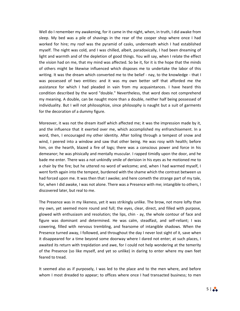Well do I remember my awakening, for it came in the night, when, in truth, I did awake from sleep. My bed was a pile of shavings in the rear of the cooper shop where once I had worked for hire; my roof was the pyramid of casks, underneath which I had established myself. The night was cold, and I was chilled, albeit, paradoxically, I had been dreaming of light and warmth and of the depletion of good things. You will say, when I relate the effect the vision had on me, that my mind was affected. So be it, for it is the hope that the minds of others might be likewise influenced which disposes me to undertake the labor of this writing. It was the dream which converted me to the belief - nay, to the knowledge - that I was possessed of two entities: and it was my own better self that afforded me the assistance for which I had pleaded in vain from my acquaintances. I have heard this condition described by the word "double." Nevertheless, that word does not comprehend my meaning. A double, can be naught more than a double, neither half being possessed of individuality. But I will not philosophize, since philosophy is naught but a suit of garments for the decoration of a dummy figure.

Moreover, it was not the dream itself which affected me; it was the impression made by it, and the influence that it exerted over me, which accomplished my enfranchisement. In a word, then, I encouraged my other identity. After toiling through a tempest of snow and wind, I peered into a window and saw that other being. He was rosy with health; before him, on the hearth, blazed a fire of logs; there was a conscious power and force in his demeanor; he was phisically and mentally muscular. I rapped timidly upon the door, and he bade me enter. There was a not unkindly smile of derision in his eyes as he motioned me to a chair by the fire; but he uttered no word of welcome; and, when I had warmed myself, I went forth again into the tempest, burdened with the shame which the contrast between us had forced upon me. It was then that I awoke; and here cometh the strange part of my tale, for, when I did awake, I was not alone. There was a Presence with me; intangible to others, I discovered later, but real to me.

The Presence was in my likeness, yet it was strikingly unlike. The brow, not more lofty than my own, yet seemed more round and full; the eyes, clear, direct, and filled with purpose, glowed with enthusiasm and resolution; the lips, chin - ay, the whole contour of face and figure was dominant and determined. He was calm, steadfast, and self-reliant; I was cowering, filled with nervous trembling, and fearsome of intangible shadows. When the Presence turned away, I followed, and throughout the day I never lost sight of it, save when it disappeared for a time beyond some doorway where I dared not enter; at such places, I awaited its return with trepidation and awe, for I could not help wondering at the temerity of the Presence (so like myself, and yet so unlike) in daring to enter where my own feet feared to tread.

It seemed also as if purposely, I was led to the place and to the men where, and before whom I most dreaded to appear; to offices where once I had transacted business; to men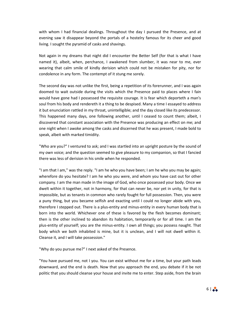with whom I had financial dealings. Throughout the day I pursued the Presence, and at evening saw it disappear beyond the portals of a hostelry famous for its cheer and good living. I sought the pyramid of casks and shavings.

Not again in my dreams that night did I encounter the Better Self (for that is what I have named it), albeit, when, perchance, I awakened from slumber, it was near to me, ever wearing that calm smile of kindly derision which could not be mistaken for pity, nor for condolence in any form. The contempt of it stung me sorely.

The second day was not unlike the first, being a repetition of its forerunner, and I was again doomed to wait outside during the visits which the Presence paid to places where I fain would have gone had I possessed the requisite courage. It is fear which deporteth a man's soul from his body and rendereth it a thing to be despised. Many a time I essayed to address it but enunciation rattled in my throat, unintelligible; and the day closed like its predecessor. This happened many days, one following another, until I ceased to count them; albeit, I discovered that constant association with the Presence was producing an effect on me; and one night when I awoke among the casks and discerned that he was present, I made bold to speak, albeit with marked timidity.

"Who are you?" I ventured to ask; and I was startled into an upright posture by the sound of my own voice; and the question seemed to give pleasure to my companion, so that I fancied there was less of derision in his smile when he responded.

"I am that I am," was the reply. "I am he who you have been; I am he who you may be again; wherefore do you hesitate? I am he who you were, and whom you have cast out for other company. I am the man made in the image of God, who once possessed your body. Once we dwelt within it together, not in harmony, for that can never be, nor yet in unity, for that is impossible, but as tenants in common who rarely fought for full possession. Then, you were a puny thing, but you became selfish and exacting until I could no longer abide with you, therefore I stepped out. There is a plus-entity and minus-entity in every human body that is born into the world. Whichever one of these is favored by the flesh becomes dominant; then is the other inclined to abandon its habitation, temporarily or for all time. I am the plus-entity of yourself; you are the minus-entity. I own all things; you possess naught. That body which we both inhabited is mine, but it is unclean, and I will not dwell within it. Cleanse it, and I will take possession."

"Why do you pursue me?" I next asked of the Presence.

"You have pursued me, not I you. You can exist without me for a time, but your path leads downward, and the end is death. Now that you approach the end, you debate if it be not politic that you should cleanse your house and invite me to enter. Step aside, from the brain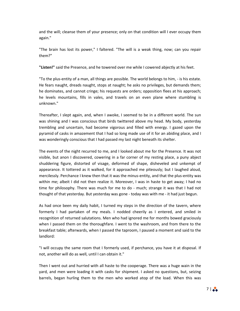and the will; cleanse them of your presence; only on that condition will I ever occupy them again."

"The brain has lost its power," I faltered. "The will is a weak thing, now; can you repair them?"

**"Listen!"** said the Presence, and he towered over me while I cowered abjectly at his feet.

"To the plus-entity of a man, all things are possible. The world belongs to him, - is his estate. He fears naught, dreads naught, stops at naught; he asks no privileges, but demands them; he dominates, and cannot cringe; his requests are orders; opposition flees at his approach; he levels mountains, fills in vales, and travels on an even plane where stumbling is unknown."

Thereafter, I slept again, and, when I awoke, I seemed to be in a different world. The sun was shining and I was conscious that birds twittered above my head. My body, yesterday trembling and uncertain, had become vigorous and filled with energy. I gazed upon the pyramid of casks in amazement that I had so long made use of it for an abiding place, and I was wonderingly conscious that I had passed my last night beneath its shelter.

The events of the night recurred to me, and I looked about me for the Presence. It was not visible, but anon I discovered, cowering in a far corner of my resting place, a puny abject shuddering figure, distorted of visage, deformed of shape, disheveled and unkempt of appearance. It tottered as it walked, for it approached me piteously; but I laughed aloud, mercilessly. Perchance I knew then that it was the minus-entity, and that the plus-entity was within me; albeit I did not then realize it. Moreover, I was in haste to get away; I had no time for philosophy. There was much for me to do - much; strange it was that I had not thought of that yesterday. But yesterday was gone - today was with me - it had just begun.

As had once been my daily habit, I turned my steps in the direction of the tavern, where formerly I had partaken of my meals. I nodded cheerily as I entered, and smiled in recognition of returned salutations. Men who had ignored me for months bowed graciously when I passed them on the thoroughfare. I went to the washroom, and from there to the breakfast table; afterwards, when I passed the taproom, I paused a moment and said to the landlord:

"I will occupy the same room that I formerly used, if perchance, you have it at disposal. If not, another will do as well, until I can obtain it."

Then I went out and hurried with all haste to the cooperage. There was a huge wain in the yard, and men were loading it with casks for shipment. I asked no questions, but, seizing barrels, began hurling them to the men who worked atop of the load. When this was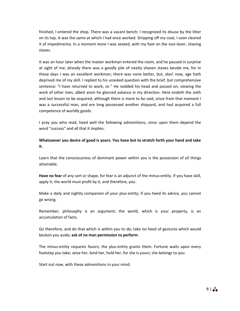finished, I entered the shop. There was a vacant bench; I recognized its disuse by the litter on its top. It was the same at which I had once worked. Stripping off my coat, I soon cleared it of impedimenta. In a moment more I was seated, with my foot on the vice-lever, shaving staves.

It was an hour later when the master workman entered the room, and he paused in surprise at sight of me; already there was a goodly pile of neatly shaven staves beside me, for in those days I was an excellent workman; there was none better, but, alas! now, age hath deprived me of my skill. I replied to his unasked question with the brief, but comprehensive sentence: "I have returned to work, sir." He nodded his head and passed on, viewing the work of other men, albeit anon he glanced askance in my direction. Here endeth the sixth and last lesson to be acquired, although there is more to be said, since from that moment I was a successful man, and ere long possessed another shipyard, and had acquired a full competence of worldly goods.

I pray you who read, heed well the following admonitions, since upon them depend the word "success" and all that it implies:

#### **Whatsoever you desire of good is yours. You have but to stretch forth your hand and take it.**

Learn that the consciousness of dominant power within you is the possession of all things attainable.

**Have no fear** of any sort or shape, for fear is an adjunct of the minus-entity. If you have skill, apply it; the world must profit by it, and therefore, you.

Make a daily and nightly companion of your plus-entity; if you heed its advice, you cannot go wrong.

Remember, philosophy is an argument; the world, which is your property, is an accumulation of facts.

Go therefore, and do that which is within you to do; take no heed of gestures which would beckon you aside; **ask of no man permission to perform**.

The minus-entity requests favors; the plus-entity grants them. Fortune waits upon every footstep you take; seize her, bind her, hold her, for she is yours; she belongs to you.

Start out now, with these admonitions in your mind.